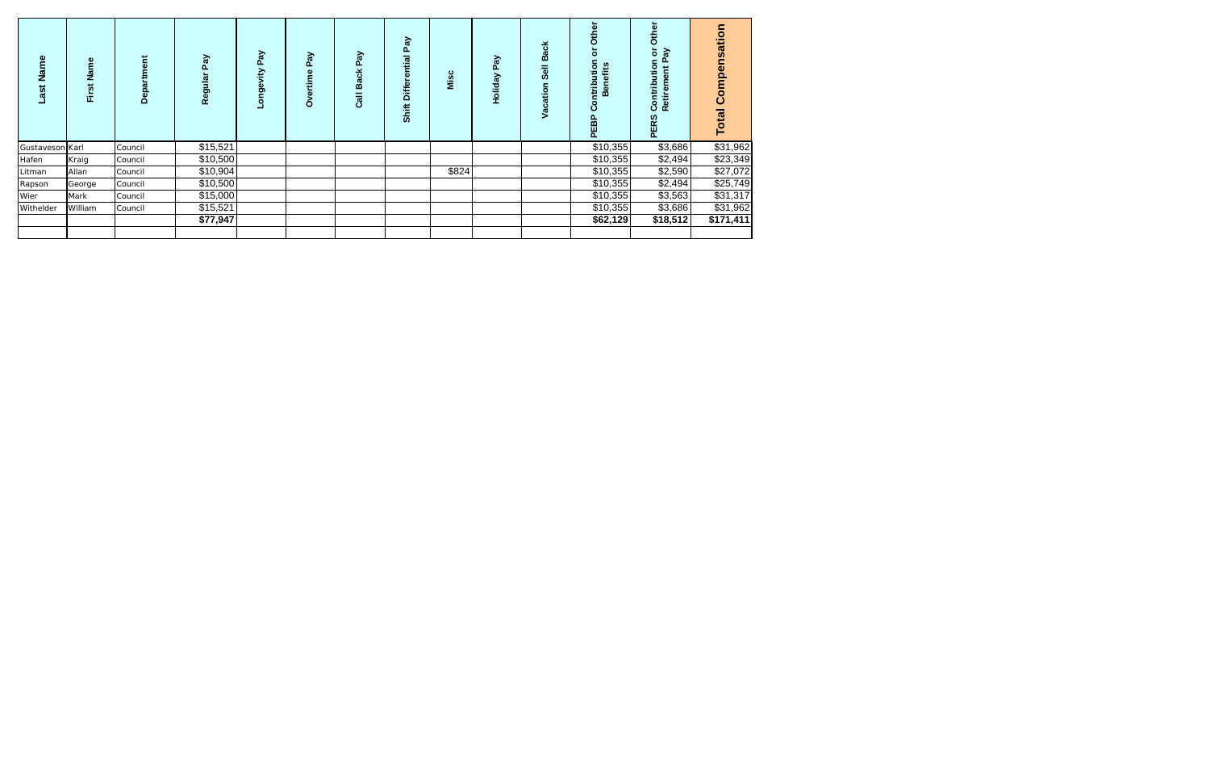| Name<br>Last    | Name<br>First | Department | λé<br>Ω<br>Regular | PaV<br>Longevity | Pay<br>Overtime | PaV<br><b>Back</b><br><b>Jie</b> | Pay<br><b>Differential</b><br>Shift | Misc  | Pay<br>Holiday | <b>Back</b><br>Vacation | Other<br>$\circ$<br>ution<br>fits<br>۵<br>ntribi<br>$\overline{\mathbf{0}}$<br>m<br>ပ<br>PEBP | Other<br>ŏ<br>శ్<br>utio<br>Ē<br>ξ<br>Contrib<br>Retir<br><b>PERS</b> | <b>Total Compensation</b> |
|-----------------|---------------|------------|--------------------|------------------|-----------------|----------------------------------|-------------------------------------|-------|----------------|-------------------------|-----------------------------------------------------------------------------------------------|-----------------------------------------------------------------------|---------------------------|
| Gustaveson Karl |               | Council    | \$15,521           |                  |                 |                                  |                                     |       |                |                         | \$10,355                                                                                      | \$3,686                                                               | \$31,962                  |
| Hafen           | Kraig         | Council    | \$10,500           |                  |                 |                                  |                                     |       |                |                         | \$10,355                                                                                      | \$2,494                                                               | \$23,349                  |
| Litman          | Allan         | Council    | \$10,904           |                  |                 |                                  |                                     | \$824 |                |                         | \$10,355                                                                                      | \$2,590                                                               | \$27,072                  |
| Rapson          | George        | Council    | \$10,500           |                  |                 |                                  |                                     |       |                |                         | \$10,355                                                                                      | \$2,494                                                               | \$25,749                  |
| Wier            | Mark          | Council    | \$15,000           |                  |                 |                                  |                                     |       |                |                         | \$10,355                                                                                      | \$3,563                                                               | \$31,317                  |
| Withelder       | William       | Council    | \$15,521           |                  |                 |                                  |                                     |       |                |                         | \$10,355                                                                                      | \$3,686                                                               | \$31,962                  |
|                 |               |            | \$77,947           |                  |                 |                                  |                                     |       |                |                         | \$62,129                                                                                      | \$18,512                                                              | \$171,411                 |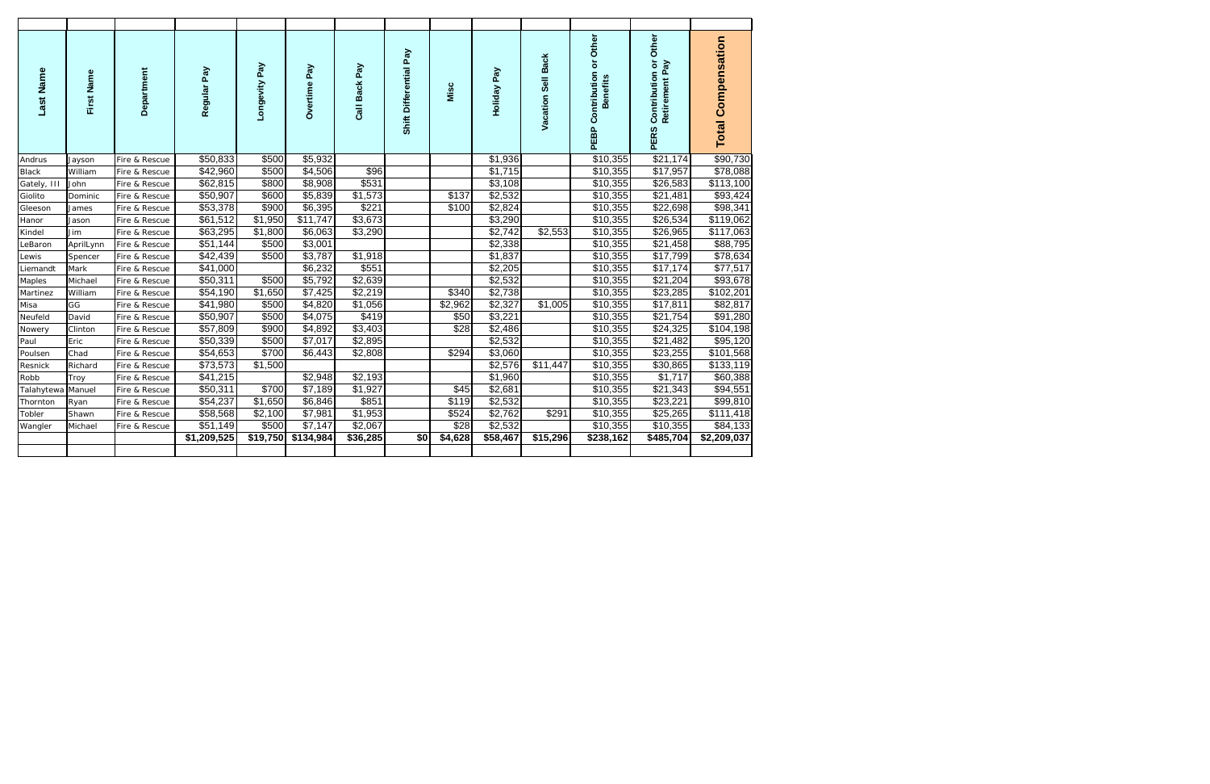| Last Name    | First Name | Department    | Regular Pay | Longevity Pay | Pay<br>Overtime | Call Back Pay | Shift Differential Pay | Misc    | Holiday Pay | Vacation Sell Back | PEBP Contribution or Other<br><b>Benefits</b> | Other<br>Contribution or<br>Retirement Pay<br><b>PERS</b> | <b>Total Compensation</b> |
|--------------|------------|---------------|-------------|---------------|-----------------|---------------|------------------------|---------|-------------|--------------------|-----------------------------------------------|-----------------------------------------------------------|---------------------------|
| Andrus       | Jayson     | Fire & Rescue | \$50,833    | \$500         | \$5,932         |               |                        |         | \$1,936     |                    | $\overline{$10,355}$                          | \$21,174                                                  | \$90,730                  |
| <b>Black</b> | William    | Fire & Rescue | \$42,960    | \$500         | \$4,506         | \$96          |                        |         | \$1,715     |                    | \$10,355                                      | \$17,957                                                  | \$78,088                  |
| Gately, III  | John       | Fire & Rescue | \$62,815    | \$800         | \$8,908         | \$531         |                        |         | \$3,108     |                    | \$10,355                                      | \$26,583                                                  | \$113,100                 |
| Giolito      | Dominic    | Fire & Rescue | \$50,907    | \$600         | \$5,839         | \$1,573       |                        | \$137   | \$2,532     |                    | \$10,355                                      | \$21,481                                                  | \$93,424                  |
| Gleeson      | James      | Fire & Rescue | \$53,378    | \$900         | \$6,395         | \$221         |                        | \$100   | \$2,824     |                    | \$10,355                                      | \$22,698                                                  | \$98,341                  |
| Hanor        | Jason      | Fire & Rescue | \$61,512    | \$1,950       | \$11,747        | \$3,673       |                        |         | \$3,290     |                    | \$10,355                                      | \$26,534                                                  | \$119,062                 |
| Kindel       | Jim        | Fire & Rescue | \$63,295    | \$1,800       | \$6,063         | \$3,290       |                        |         | \$2,742     | \$2,553            | \$10,355                                      | \$26,965                                                  | \$117,063                 |
| LeBaron      | AprilLynn  | Fire & Rescue | \$51,144    | \$500         | \$3,001         |               |                        |         | \$2,338     |                    | \$10,355                                      | \$21,458                                                  | \$88,795                  |
| Lewis        | Spencer    | Fire & Rescue | \$42,439    | \$500         | \$3,787         | \$1,918       |                        |         | \$1,837     |                    | \$10,355                                      | \$17,799                                                  | \$78,634                  |
| Liemandt     | Mark       | Fire & Rescue | \$41,000    |               | \$6,232         | \$551         |                        |         | \$2,205     |                    | \$10,355                                      | \$17,174                                                  | \$77,517                  |
| Maples       | Michael    | Fire & Rescue | \$50,311    | \$500         | \$5,792         | \$2,639       |                        |         | \$2,532     |                    | \$10,355                                      | \$21,204                                                  | \$93,678                  |
| Martinez     | William    | Fire & Rescue | \$54,190    | \$1,650       | \$7,425         | \$2,219       |                        | \$340   | \$2,738     |                    | \$10,355                                      | \$23,285                                                  | \$102,201                 |
| Misa         | GG         | Fire & Rescue | \$41,980    | \$500         | \$4,820         | \$1,056       |                        | \$2,962 | \$2,327     | \$1,005            | \$10,355                                      | \$17,811                                                  | \$82,817                  |
| Neufeld      | David      | Fire & Rescue | \$50,907    | \$500         | \$4,075         | \$419         |                        | \$50    | \$3,221     |                    | \$10,355                                      | \$21,754                                                  | \$91,280                  |
| Nowery       | Clinton    | Fire & Rescue | \$57,809    | \$900         | \$4,892         | \$3,403       |                        | \$28    | \$2,486     |                    | \$10,355                                      | \$24,325                                                  | \$104,198                 |
| Paul         | Eric       | Fire & Rescue | \$50,339    | \$500         | \$7,017         | \$2,895       |                        |         | \$2,532     |                    | \$10,355                                      | \$21,482                                                  | \$95,120                  |
| Poulsen      | Chad       | Fire & Rescue | \$54,653    | \$700         | \$6,443         | \$2,808       |                        | \$294   | \$3,060     |                    | \$10,355                                      | \$23,255                                                  | \$101,568                 |
| Resnick      | Richard    | Fire & Rescue | \$73,573    | \$1,500       |                 |               |                        |         | \$2,576     | \$11,447           | \$10,355                                      | \$30,865                                                  | \$133,119                 |
| Robb         | Troy       | Fire & Rescue | \$41,215    |               | \$2,948         | \$2,193       |                        |         | \$1,960     |                    | \$10,355                                      | \$1,717                                                   | \$60,388                  |
| Talahytewa   | Manuel     | Fire & Rescue | \$50,311    | \$700         | \$7,189         | \$1,927       |                        | \$45    | \$2,681     |                    | \$10,355                                      | \$21,343                                                  | \$94,551                  |
| Thornton     | Ryan       | Fire & Rescue | \$54,237    | \$1,650       | \$6,846         | \$851         |                        | \$119   | \$2,532     |                    | \$10,355                                      | \$23,221                                                  | \$99,810                  |
| Tobler       | Shawn      | Fire & Rescue | \$58,568    | \$2,100       | \$7,981         | \$1,953       |                        | \$524   | \$2,762     | \$291              | \$10,355                                      | \$25,265                                                  | \$111,418                 |
| Wangler      | Michael    | Fire & Rescue | \$51,149    | \$500         | \$7,147         | \$2,067       |                        | \$28    | \$2,532     |                    | \$10,355                                      | \$10,355                                                  | \$84,133                  |
|              |            |               | \$1,209,525 | \$19,750      | \$134,984       | \$36,285      | \$0                    | \$4,628 | \$58,467    | \$15,296           | \$238,162                                     | \$485,704                                                 | \$2,209,037               |
|              |            |               |             |               |                 |               |                        |         |             |                    |                                               |                                                           |                           |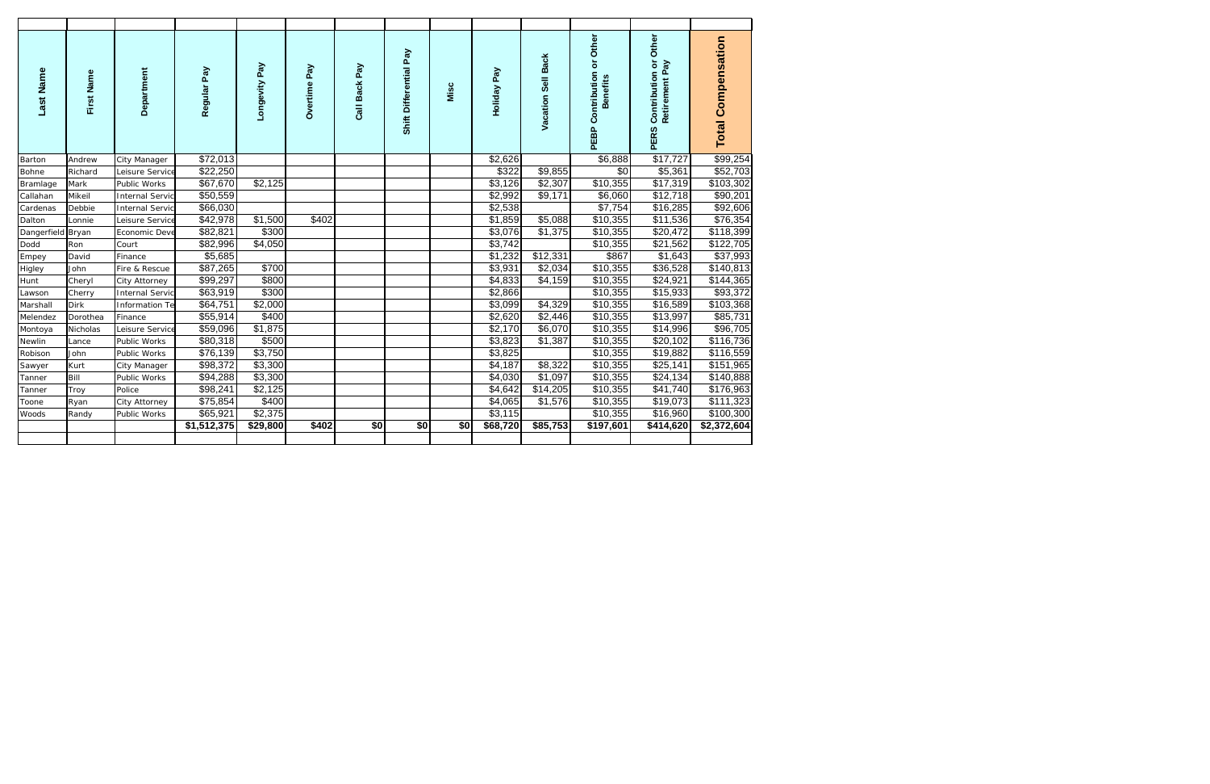| Last Name         | First Name | Department             | Regular Pay | Longevity Pay | Overtime Pay | Call Back Pay | Shift Differential Pay | Misc | Holiday Pay | Vacation Sell Back | PEBP Contribution or Other<br><b>Benefits</b> | Other<br>Contribution or<br>Retirement Pay<br><b>PERS</b> | <b>Total Compensation</b> |
|-------------------|------------|------------------------|-------------|---------------|--------------|---------------|------------------------|------|-------------|--------------------|-----------------------------------------------|-----------------------------------------------------------|---------------------------|
| Barton            | Andrew     | City Manager           | \$72,013    |               |              |               |                        |      | \$2,626     |                    | \$6,888                                       | \$17,727                                                  | \$99,254                  |
| Bohne             | Richard    | Leisure Service        | \$22,250    |               |              |               |                        |      | \$322       | \$9,855            | \$0                                           | \$5,361                                                   | \$52,703                  |
| Bramlage          | Mark       | Public Works           | \$67,670    | \$2,125       |              |               |                        |      | \$3,126     | \$2,307            | $\overline{$}10,355$                          | \$17,319                                                  | \$103,302                 |
| Callahan          | Mikeil     | <b>Internal Servic</b> | \$50,559    |               |              |               |                        |      | \$2,992     | \$9,171            | \$6,060                                       | \$12,718                                                  | \$90,201                  |
| Cardenas          | Debbie     | <b>Internal Servic</b> | \$66,030    |               |              |               |                        |      | \$2,538     |                    | \$7,754                                       | \$16,285                                                  | \$92,606                  |
| Dalton            | Lonnie     | Leisure Service        | \$42,978    | \$1,500       | \$402        |               |                        |      | \$1,859     | \$5,088            | \$10,355                                      | \$11,536                                                  | \$76,354                  |
| Dangerfield Bryan |            | Economic Deve          | \$82,821    | \$300         |              |               |                        |      | \$3,076     | \$1,375            | \$10,355                                      | \$20,472                                                  | \$118,399                 |
| Dodd              | Ron        | Court                  | \$82,996    | \$4,050       |              |               |                        |      | \$3,742     |                    | \$10,355                                      | \$21,562                                                  | \$122,705                 |
| Empey             | David      | Finance                | \$5,685     |               |              |               |                        |      | \$1,232     | \$12,331           | \$867                                         | \$1,643                                                   | \$37,993                  |
| Higley            | John       | Fire & Rescue          | \$87,265    | \$700         |              |               |                        |      | \$3,931     | \$2,034            | \$10,355                                      | \$36,528                                                  | \$140,813                 |
| Hunt              | Cheryl     | City Attorney          | \$99,297    | \$800         |              |               |                        |      | \$4,833     | \$4,159            | \$10,355                                      | \$24,921                                                  | \$144,365                 |
| Lawson            | Cherry     | <b>Internal Servic</b> | \$63,919    | \$300         |              |               |                        |      | \$2,866     |                    | \$10,355                                      | \$15,933                                                  | \$93,372                  |
| Marshall          | Dirk       | Information Te         | \$64,751    | \$2,000       |              |               |                        |      | \$3,099     | \$4,329            | \$10,355                                      | \$16,589                                                  | \$103,368                 |
| Melendez          | Dorothea   | Finance                | \$55,914    | \$400         |              |               |                        |      | \$2,620     | \$2,446            | \$10,355                                      | \$13,997                                                  | \$85,731                  |
| Montoya           | Nicholas   | Leisure Service        | \$59,096    | \$1,875       |              |               |                        |      | \$2,170     | \$6,070            | \$10,355                                      | \$14,996                                                  | 396,705                   |
| Newlin            | Lance      | Public Works           | \$80,318    | \$500         |              |               |                        |      | \$3,823     | \$1,387            | \$10,355                                      | \$20,102                                                  | \$116,736                 |
| Robison           | John       | Public Works           | \$76,139    | \$3,750       |              |               |                        |      | \$3,825     |                    | \$10,355                                      | \$19,882                                                  | \$116,559                 |
| Sawyer            | Kurt       | City Manager           | \$98,372    | \$3,300       |              |               |                        |      | \$4,187     | \$8,322            | \$10,355                                      | \$25,141                                                  | \$151,965                 |
| Tanner            | Bill       | Public Works           | \$94,288    | \$3,300       |              |               |                        |      | \$4,030     | \$1,097            | \$10,355                                      | \$24,134                                                  | \$140,888                 |
| Tanner            | Troy       | Police                 | \$98,241    | \$2,125       |              |               |                        |      | \$4,642     | \$14,205           | \$10,355                                      | \$41,740                                                  | \$176,963                 |
| Toone             | Ryan       | City Attorney          | \$75,854    | \$400         |              |               |                        |      | \$4,065     | \$1,576            | \$10,355                                      | \$19,073                                                  | \$111,323                 |
| Woods             | Randy      | Public Works           | \$65,921    | \$2,375       |              |               |                        |      | \$3,115     |                    | \$10,355                                      | \$16,960                                                  | \$100,300                 |
|                   |            |                        | \$1,512,375 | \$29,800      | \$402        | \$0           | \$0                    | \$0  | \$68,720    | \$85,753           | \$197,601                                     | \$414,620                                                 | \$2,372,604               |
|                   |            |                        |             |               |              |               |                        |      |             |                    |                                               |                                                           |                           |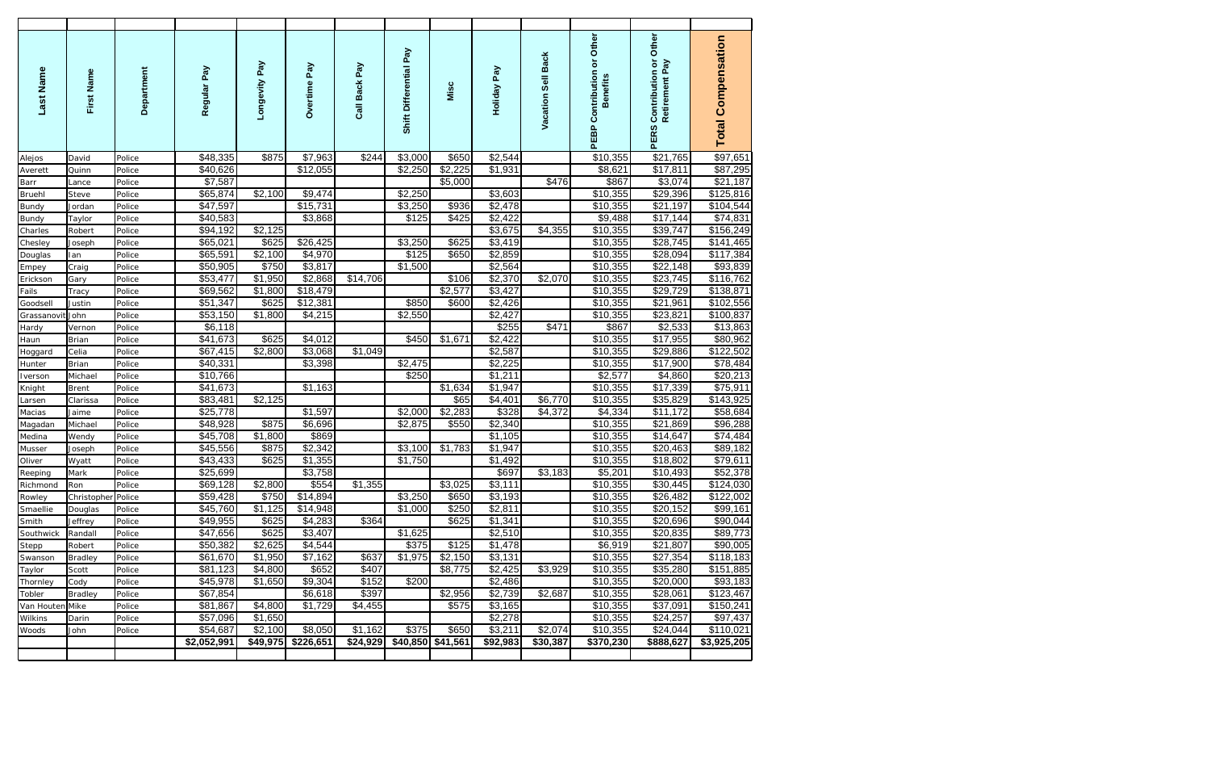| Last Name           | First Name         | Department       | Regular Pay          | Longevity Pay    | Overtime Pay        | Call Back Pay | Shift Differential Pay | Misc    | Holiday Pay         | Vacation Sell Back | Other<br>$\overline{\sigma}$<br><b>PEBP Contribution</b><br><b>Benefits</b> | Other<br>Contribution or<br>Retirement Pay<br><b>PERS</b> | <b>Total Compensation</b> |
|---------------------|--------------------|------------------|----------------------|------------------|---------------------|---------------|------------------------|---------|---------------------|--------------------|-----------------------------------------------------------------------------|-----------------------------------------------------------|---------------------------|
| Alejos              | David              | Police           | \$48,335             | \$875            | \$7,963             | \$244         | \$3,000                | \$650   | \$2,544             |                    | \$10,355                                                                    | \$21,765                                                  | \$97,651                  |
| Averett             | Quinn              | Police           | \$40,626             |                  | \$12,055            |               | \$2,250                | \$2,225 | $\overline{$}1,931$ |                    | \$8,621                                                                     | \$17,811                                                  | \$87,295                  |
| Barr                | Lance              | Police           | \$7,587              |                  |                     |               |                        | \$5,000 |                     | \$476              | \$867                                                                       | \$3,074                                                   | \$21,187                  |
| <b>Bruehl</b>       | Steve              | Police           | \$65,874             | \$2,100          | \$9,474             |               | \$2,250                |         | \$3,603             |                    | \$10,355                                                                    | \$29,396                                                  | \$125,816                 |
| <b>Bundy</b>        | Jordan             | Police           | \$47,597             |                  | \$15,731            |               | \$3,250                | \$936   | \$2,478             |                    | \$10,355                                                                    | \$21,197                                                  | \$104,544                 |
| <b>Bundy</b>        | Taylor             | Police           | \$40,583             |                  | \$3,868             |               | \$125                  | \$425   | \$2,422             |                    | \$9,488                                                                     | \$17,144                                                  | $\overline{$}74,831$      |
| Charles             | Robert             | Police           | \$94,192             | \$2,125          |                     |               |                        |         | \$3,675             | \$4,355            | \$10,355                                                                    | \$39,747                                                  | \$156,249                 |
| Chesley             | Joseph             | Police           | \$65,021             | \$625            | \$26,425            |               | \$3,250                | \$625   | \$3,419             |                    | \$10,355                                                                    | \$28,745                                                  | \$141,465                 |
| Douglas             | lan                | Police           | \$65,591             | \$2,100          | \$4,970             |               | \$125                  | \$650   | \$2,859             |                    | \$10,355                                                                    | \$28,094                                                  | \$117,384                 |
| Empey               | Craig              | Police           | \$50,905             | \$750            | \$3,817             |               | \$1,500                |         | \$2,564             |                    | \$10,355                                                                    | \$22,148                                                  | \$93,839                  |
| Erickson            | Gary               | Police           | \$53,477             | \$1,950          | \$2,868             | \$14,706      |                        | \$106   | \$2,370             | \$2,070            | \$10,355                                                                    | \$23,745                                                  | \$116,762                 |
| Fails               | Tracy              | Police           | \$69,562             | \$1,800          | \$18,479            |               |                        | \$2,577 | \$3,427             |                    | \$10,355                                                                    | \$29,729                                                  | \$138,871                 |
| Goodsell            | Justin             | Police           | \$51,347             | \$625            | \$12,381            |               | \$850                  | \$600   | \$2,426             |                    | \$10,355                                                                    | \$21,961                                                  | \$102,556                 |
| Grassanovit         | John               | Police           | \$53,150             | \$1,800          | \$4,215             |               | \$2,550                |         | \$2,427             |                    | \$10,355                                                                    | \$23,821                                                  | \$100,837                 |
| Hardy               | Vernon             | Police           | \$6,118              |                  |                     |               |                        |         | \$255               | \$471              | \$867                                                                       | \$2,533                                                   | \$13,863                  |
| Haun                | Brian              | Police           | \$41,673             | \$625            | \$4,012             |               | \$450                  | \$1,671 | \$2,422             |                    | \$10,355                                                                    | \$17,955                                                  | \$80,962                  |
| Hoggard             | Celia              | Police           | $\overline{$}67,415$ | \$2,800          | \$3,068             | \$1,049       |                        |         | \$2,587             |                    | \$10,355                                                                    | \$29,886                                                  | \$122,502                 |
| Hunter              | Brian              | Police           | \$40,331             |                  | \$3,398             |               | \$2,475                |         | \$2,225             |                    | \$10,355                                                                    | \$17,900                                                  | \$78,484                  |
| Iverson             | Michael            | Police           | \$10,766             |                  |                     |               | \$250                  |         | \$1,211             |                    | \$2,577                                                                     | \$4,860                                                   | \$20,213                  |
| Knight              | Brent              | Police           | \$41,673             |                  | \$1,163             |               |                        | \$1,634 | \$1,947             |                    | \$10,355                                                                    | \$17,339                                                  | \$75,911                  |
| Larsen              | Clarissa           | Police           | \$83,481             | \$2,125          |                     |               |                        | \$65    | \$4,401             | \$6,770            | \$10,355                                                                    | \$35,829                                                  | \$143,925                 |
| Macias              | Jaime              | Police           | \$25,778             |                  | $\overline{$}1,597$ |               | \$2,000                | \$2,283 | \$328<br>\$2,340    | \$4,372            | \$4,334                                                                     | \$11,172                                                  | \$58,684                  |
| Magadan             | Michael            | Police           | \$48,928             | \$875            | \$6,696             |               | \$2,875                | \$550   |                     |                    | \$10,355                                                                    | \$21,869                                                  | \$96,288                  |
| Medina              | Wendy              | Police           | \$45,708<br>\$45,556 | \$1,800<br>\$875 | \$869<br>\$2,342    |               | \$3,100                | \$1,783 | \$1,105<br>\$1,947  |                    | \$10,355<br>\$10,355                                                        | \$14,647<br>\$20,463                                      | \$74,484<br>\$89,182      |
| Musser<br>Oliver    | Joseph             | Police           | \$43,433             | \$625            | \$1,355             |               | \$1,750                |         | \$1,492             |                    | \$10,355                                                                    | \$18,802                                                  | \$79,611                  |
|                     | Wyatt              | Police           | \$25,699             |                  | \$3,758             |               |                        |         | \$697               | \$3,183            | \$5,201                                                                     | \$10,493                                                  | \$52,378                  |
| Reeping<br>Richmond | Mark<br>Ron        | Police<br>Police | \$69,128             | \$2,800          | \$554               | \$1,355       |                        | \$3,025 | \$3,111             |                    | \$10,355                                                                    | \$30,445                                                  | \$124,030                 |
| Rowley              | Christopher Police |                  | \$59,428             | \$750            | \$14,894            |               | \$3,250                | \$650   | \$3,193             |                    | \$10,355                                                                    | \$26,482                                                  | \$122,002                 |
| Smaellie            | Douglas            | Police           | \$45,760             | \$1,125          | \$14,948            |               | \$1,000                | \$250   | \$2,811             |                    | \$10,355                                                                    | \$20,152                                                  | \$99,161                  |
| Smith               | Jeffrey            | Police           | \$49,955             | \$625            | \$4,283             | \$364         |                        | \$625   | \$1,341             |                    | \$10,355                                                                    | \$20,696                                                  | \$90,044                  |
| Southwick           | Randall            | Police           | \$47,656             | \$625            | \$3,407             |               | \$1,625                |         | \$2,510             |                    | \$10,355                                                                    | \$20,835                                                  | \$89,773                  |
| Stepp               | Robert             | Police           | \$50,382             | \$2,625          | \$4,544             |               | \$375                  | \$125   | \$1,478             |                    | \$6,919                                                                     | \$21,807                                                  | \$90,005                  |
| Swanson             | Bradley            | Police           | \$61,670             | \$1,950          | \$7,162             | \$637         | \$1,975                | \$2,150 | \$3,131             |                    | \$10,355                                                                    | \$27,354                                                  | \$118,183                 |
| Taylor              | Scott              | Police           | \$81,123             | \$4,800          | \$652               | \$407         |                        | \$8,775 | \$2,425             | \$3,929            | \$10,355                                                                    | \$35,280                                                  | \$151,885                 |
| Thornley            | Cody               | Police           | \$45,978             | \$1,650          | \$9,304             | \$152         | \$200                  |         | \$2,486             |                    | \$10,355                                                                    | \$20,000                                                  | \$93,183                  |
| Tobler              | <b>Bradley</b>     | Police           | \$67,854             |                  | \$6,618             | \$397         |                        | \$2,956 | \$2,739             | \$2,687            | \$10,355                                                                    | \$28,061                                                  | \$123,467                 |
| Van Houten Mike     |                    | Police           | \$81,867             | \$4,800          | \$1,729             | \$4,455       |                        | \$575   | \$3,165             |                    | \$10,355                                                                    | \$37,091                                                  | \$150,241                 |
| Wilkins             | Darin              | Police           | \$57,096             | \$1,650          |                     |               |                        |         | \$2,278             |                    | \$10,355                                                                    | \$24,257                                                  | \$97,437                  |
| Woods               | John               | Police           | \$54,687             | \$2,100          | \$8,050             | \$1,162       | \$375                  | \$650   | \$3,211             | \$2,074            | \$10,355                                                                    | \$24,044                                                  | \$110,021                 |
|                     |                    |                  | \$2,052,991          | \$49,975         | \$226,651           | \$24,929      | $$40,850$ \$41,561     |         | \$92,983            | \$30,387           | \$370,230                                                                   | \$888,627                                                 | \$3,925,205               |
|                     |                    |                  |                      |                  |                     |               |                        |         |                     |                    |                                                                             |                                                           |                           |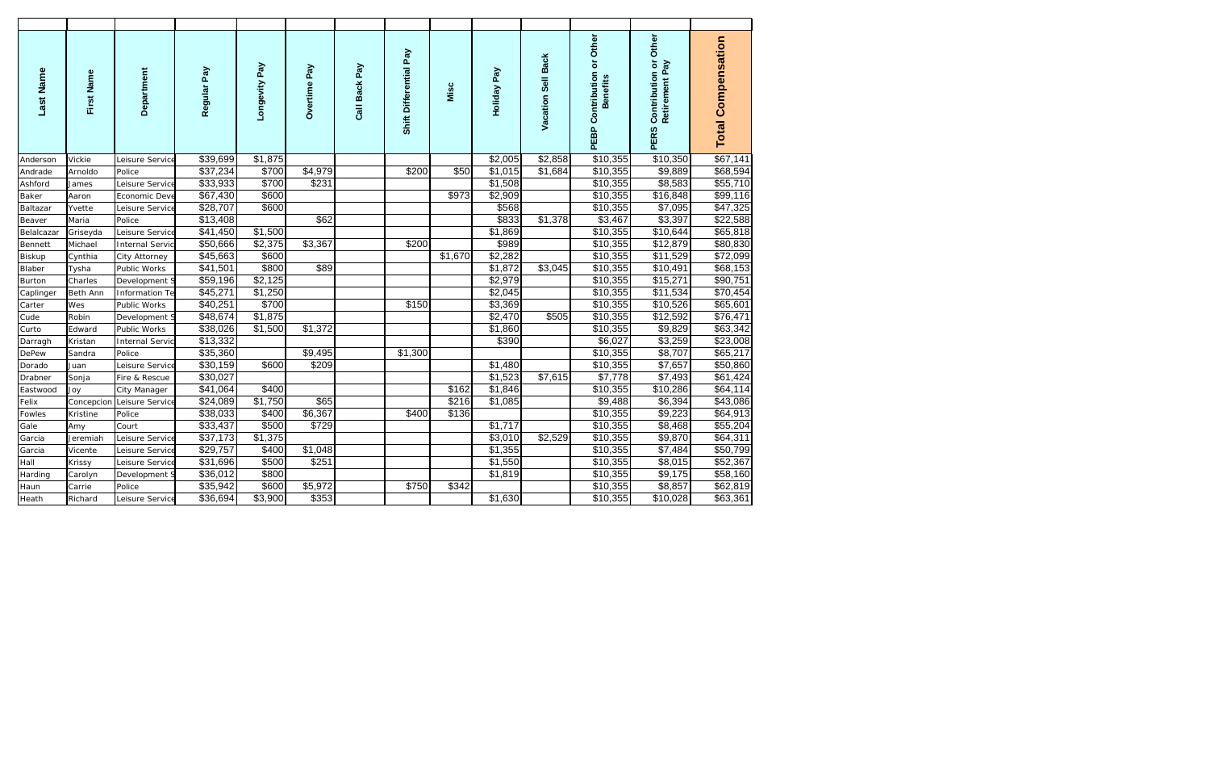| Last Name     | First Name | Department             | Regular Pay | Longevity Pay | Overtime Pay | Call Back Pay | Shift Differential Pay | Misc    | Holiday Pay         | Vacation Sell Back | PEBP Contribution or Other<br><b>Benefits</b> | PERS Contribution or Other<br>Retirement Pay | <b>Total Compensation</b> |
|---------------|------------|------------------------|-------------|---------------|--------------|---------------|------------------------|---------|---------------------|--------------------|-----------------------------------------------|----------------------------------------------|---------------------------|
| Anderson      | Vickie     | Leisure Service        | \$39,699    | \$1,875       |              |               |                        |         | \$2,005             | \$2,858            | $\sqrt{$10,355}$                              | \$10,350                                     | \$67,141                  |
| Andrade       | Arnoldo    | Police                 | \$37,234    | \$700         | \$4,979      |               | \$200                  | \$50    | \$1,015             | \$1,684            | \$10,355                                      | \$9,889                                      | \$68,594                  |
| Ashford       | James      | Leisure Service        | \$33,933    | \$700         | \$231        |               |                        |         | \$1,508             |                    | $\overline{$}10,355$                          | \$8,583                                      | \$55,710                  |
| Baker         | Aaron      | Economic Deve          | \$67,430    | \$600         |              |               |                        | \$973   | \$2,909             |                    | \$10,355                                      | \$16,848                                     | \$99,116                  |
| Baltazar      | Yvette     | Leisure Service        | \$28,707    | \$600         |              |               |                        |         | \$568               |                    | \$10,355                                      | \$7,095                                      | \$47,325                  |
| Beaver        | Maria      | Police                 | \$13,408    |               | \$62         |               |                        |         | \$833               | \$1,378            | $\overline{$3,467}$                           | \$3,397                                      | \$22,588                  |
| Belalcazar    | Griseyda   | Leisure Service        | \$41,450    | \$1,500       |              |               |                        |         | \$1,869             |                    | \$10,355                                      | \$10,644                                     | \$65,818                  |
| Bennett       | Michael    | <b>Internal Servic</b> | \$50,666    | \$2,375       | \$3,367      |               | \$200                  |         | \$989               |                    | \$10,355                                      | \$12,879                                     | \$80,830                  |
| <b>Biskup</b> | Cynthia    | City Attorney          | \$45,663    | \$600         |              |               |                        | \$1,670 | \$2,282             |                    | \$10,355                                      | \$11,529                                     | $\overline{$72,099}$      |
| Blaber        | Tysha      | Public Works           | \$41,501    | \$800         | \$89         |               |                        |         | \$1,872             | \$3,045            | \$10,355                                      | \$10,491                                     | \$68,153                  |
| <b>Burton</b> | Charles    | Development S          | \$59,196    | \$2,125       |              |               |                        |         | \$2,979             |                    | \$10,355                                      | \$15,271                                     | \$90,751                  |
| Caplinger     | Beth Ann   | Information Te         | \$45,271    | \$1,250       |              |               |                        |         | \$2,045             |                    | \$10,355                                      | \$11,534                                     | \$70,454                  |
| Carter        | Wes        | Public Works           | \$40,251    | \$700         |              |               | \$150                  |         | \$3,369             |                    | \$10,355                                      | \$10,526                                     | \$65,601                  |
| Cude          | Robin      | Development S          | \$48,674    | \$1,875       |              |               |                        |         | \$2,470             | \$505              | \$10,355                                      | \$12,592                                     | \$76,471                  |
| Curto         | Edward     | Public Works           | \$38,026    | \$1,500       | \$1,372      |               |                        |         | \$1,860             |                    | \$10,355                                      | \$9,829                                      | \$63,342                  |
| Darragh       | Kristan    | <b>Internal Servic</b> | \$13,332    |               |              |               |                        |         | \$390               |                    | \$6,027                                       | \$3,259                                      | 323,008                   |
| <b>DePew</b>  | Sandra     | Police                 | \$35,360    |               | \$9,495      |               | \$1,300                |         |                     |                    | \$10,355                                      | \$8,707                                      | \$65,217                  |
| Dorado        | Juan       | Leisure Service        | \$30,159    | \$600         | \$209        |               |                        |         | $\overline{$}1,480$ |                    | \$10,355                                      | \$7,657                                      | \$50,860                  |
| Drabner       | Sonja      | Fire & Rescue          | \$30,027    |               |              |               |                        |         | \$1,523             | \$7,615            | \$7,778                                       | $\overline{$}7,493$                          | \$61,424                  |
| Eastwood      | Joy        | City Manager           | \$41,064    | \$400         |              |               |                        | \$162   | \$1,846             |                    | \$10,355                                      | \$10,286                                     | \$64,114                  |
| Felix         | Concepcion | Leisure Service        | \$24,089    | \$1,750       | \$65         |               |                        | \$216   | $\overline{$}1,085$ |                    | \$9,488                                       | \$6,394                                      | \$43,086                  |
| Fowles        | Kristine   | Police                 | \$38,033    | \$400         | \$6,367      |               | \$400                  | \$136   |                     |                    | \$10,355                                      | \$9,223                                      | \$64,913                  |
| Gale          | Amy        | Court                  | \$33,437    | \$500         | \$729        |               |                        |         | \$1,717             |                    | \$10,355                                      | \$8,468                                      | \$55,204                  |
| Garcia        | Jeremiah   | Leisure Service        | \$37,173    | \$1,375       |              |               |                        |         | \$3,010             | \$2,529            | \$10,355                                      | \$9,870                                      | \$64,311                  |
| Garcia        | Vicente    | Leisure Service        | \$29,757    | \$400         | \$1,048      |               |                        |         | \$1,355             |                    | \$10,355                                      | \$7,484                                      | \$50,799                  |
| Hall          | Krissy     | Leisure Service        | \$31,696    | \$500         | \$251        |               |                        |         | $\sqrt{$1,550}$     |                    | \$10,355                                      | \$8,015                                      | \$52,367                  |
| Harding       | Carolyn    | Development S          | \$36,012    | \$800         |              |               |                        |         | \$1,819             |                    | \$10,355                                      | \$9,175                                      | \$58,160                  |
| Haun          | Carrie     | Police                 | \$35,942    | \$600         | \$5,972      |               | \$750                  | \$342   |                     |                    | \$10,355                                      | \$8,857                                      | \$62,819                  |
| Heath         | Richard    | Leisure Service        | \$36,694    | \$3,900       | \$353        |               |                        |         | \$1,630             |                    | \$10,355                                      | \$10,028                                     | \$63,361                  |